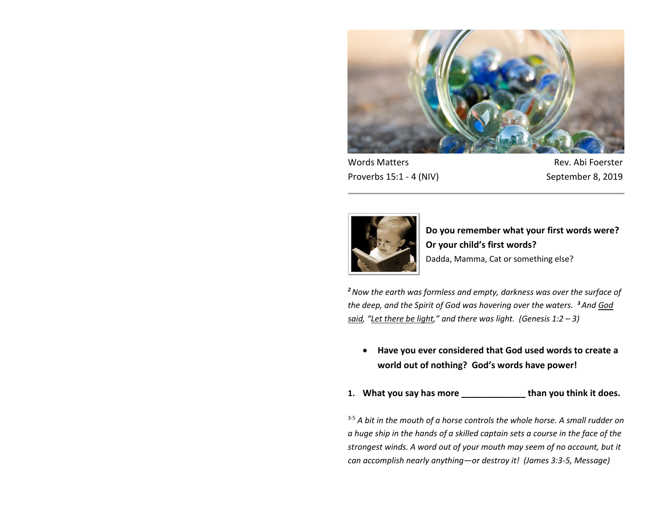

Proverbs 15:1 - 4 (NIV) September 8, 2019

Words Matters **Matters** Rev. Abi Foerster



**Do you remember what your first words were? Or your child's first words?** Dadda, Mamma, Cat or something else?

*<sup>2</sup>Now the earth was formless and empty, darkness was over the surface of the deep, and the Spirit of God was hovering over the waters. <sup>3</sup>And God said, "Let there be light," and there was light. (Genesis 1:2 – 3)*

 **Have you ever considered that God used words to create a world out of nothing? God's words have power!**

**1. What you say has more \_\_\_\_\_\_\_\_\_\_\_\_\_ than you think it does.**

<sup>3-5</sup> A bit in the mouth of a horse controls the whole horse. A small rudder on *a huge ship in the hands of a skilled captain sets a course in the face of the strongest winds. A word out of your mouth may seem of no account, but it can accomplish nearly anything—or destroy it! (James 3:3-5, Message)*